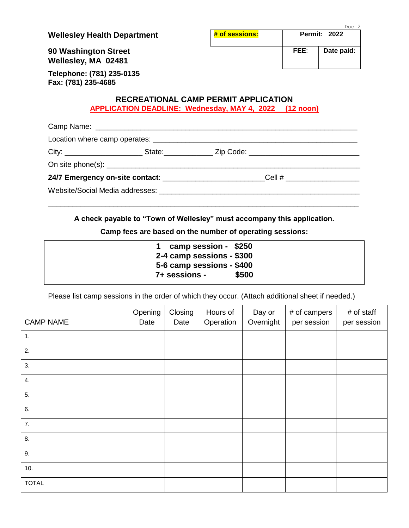**Wellesley Health Department # of sessions:** Permit: 2022

Doc 2

**FEE**: **Date paid:**

**90 Washington Street Wellesley, MA 02481**

**Telephone: (781) 235-0135 Fax: (781) 235-4685**

#### **RECREATIONAL CAMP PERMIT APPLICATION APPLICATION DEADLINE: Wednesday, MAY 4, 2022 (12 noon)**

|  | 24/7 Emergency on-site contact: __________________________Cell # _______________ |  |
|--|----------------------------------------------------------------------------------|--|
|  |                                                                                  |  |
|  |                                                                                  |  |

**A check payable to "Town of Wellesley" must accompany this application.**

**Camp fees are based on the number of operating sessions:**

| 1 camp session - \$250<br>2-4 camp sessions - \$300 |       |
|-----------------------------------------------------|-------|
| 5-6 camp sessions - \$400<br>7+ sessions -          | \$500 |

Please list camp sessions in the order of which they occur. (Attach additional sheet if needed.)

| <b>CAMP NAME</b> | Opening<br>Date | Closing<br>Date | Hours of<br>Operation | Day or<br>Overnight | # of campers<br>per session | # of staff<br>per session |
|------------------|-----------------|-----------------|-----------------------|---------------------|-----------------------------|---------------------------|
| 1.               |                 |                 |                       |                     |                             |                           |
| 2.               |                 |                 |                       |                     |                             |                           |
| 3.               |                 |                 |                       |                     |                             |                           |
| 4.               |                 |                 |                       |                     |                             |                           |
| 5.               |                 |                 |                       |                     |                             |                           |
| 6.               |                 |                 |                       |                     |                             |                           |
| 7.               |                 |                 |                       |                     |                             |                           |
| 8.               |                 |                 |                       |                     |                             |                           |
| 9.               |                 |                 |                       |                     |                             |                           |
| 10.              |                 |                 |                       |                     |                             |                           |
| <b>TOTAL</b>     |                 |                 |                       |                     |                             |                           |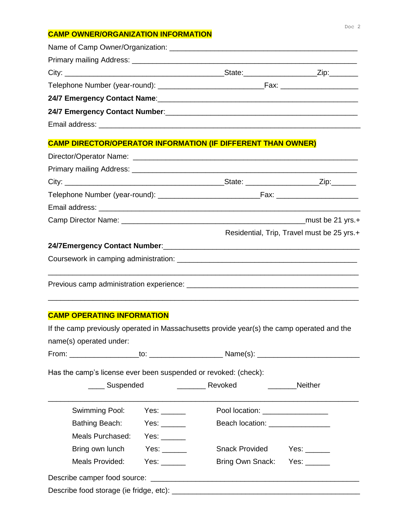#### **CAMP OWNER/ORGANIZATION INFORMATION**

|  | State: ______________________Zip:________ |
|--|-------------------------------------------|
|  |                                           |
|  |                                           |
|  |                                           |
|  |                                           |

## **CAMP DIRECTOR/OPERATOR INFORMATION (IF DIFFERENT THAN OWNER)**

|  | Residential, Trip, Travel must be 25 yrs.+ |
|--|--------------------------------------------|
|  |                                            |
|  |                                            |
|  |                                            |

\_\_\_\_\_\_\_\_\_\_\_\_\_\_\_\_\_\_\_\_\_\_\_\_\_\_\_\_\_\_\_\_\_\_\_\_\_\_\_\_\_\_\_\_\_\_\_\_\_\_\_\_\_\_\_\_\_\_\_\_\_\_\_\_\_\_\_\_\_\_\_\_\_\_\_\_

### **CAMP OPERATING INFORMATION**

| If the camp previously operated in Massachusetts provide year(s) the camp operated and the                                                                                                                                                       |                                                                                                                                                                                                                                |                                  |             |  |
|--------------------------------------------------------------------------------------------------------------------------------------------------------------------------------------------------------------------------------------------------|--------------------------------------------------------------------------------------------------------------------------------------------------------------------------------------------------------------------------------|----------------------------------|-------------|--|
| name(s) operated under:                                                                                                                                                                                                                          |                                                                                                                                                                                                                                |                                  |             |  |
|                                                                                                                                                                                                                                                  |                                                                                                                                                                                                                                |                                  |             |  |
| Has the camp's license ever been suspended or revoked: (check):                                                                                                                                                                                  |                                                                                                                                                                                                                                |                                  |             |  |
| Suspended Suspended Suspended Suspended Suspended Suspended Suspended Suspended Suspended Suspended Suspended Suspended Suspended Suspended Suspended Suspended Suspended Suspended Suspended Suspended Suspended Suspended Su<br><b>Neither</b> |                                                                                                                                                                                                                                |                                  |             |  |
| Swimming Pool:                                                                                                                                                                                                                                   | Yes: $\_\_$                                                                                                                                                                                                                    | Pool location: _________________ |             |  |
| Bathing Beach:                                                                                                                                                                                                                                   | Yes: $\_\_$                                                                                                                                                                                                                    | Beach location: ________________ |             |  |
| Meals Purchased:                                                                                                                                                                                                                                 | Yes: $\_\_$                                                                                                                                                                                                                    |                                  |             |  |
| Bring own lunch                                                                                                                                                                                                                                  | Yes: the control of the control of the control of the control of the control of the control of the control of the control of the control of the control of the control of the control of the control of the control of the con | Snack Provided                   | Yes: $\_\_$ |  |
| Meals Provided:                                                                                                                                                                                                                                  | Yes: the control of the control of the control of the control of the control of the control of the control of the control of the control of the control of the control of the control of the control of the control of the con | Bring Own Snack: Yes: _____      |             |  |
|                                                                                                                                                                                                                                                  |                                                                                                                                                                                                                                |                                  |             |  |
|                                                                                                                                                                                                                                                  |                                                                                                                                                                                                                                |                                  |             |  |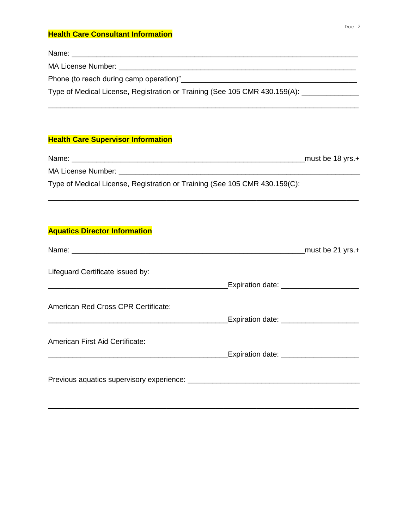#### **Health Care Consultant Information**

| Type of Medical License, Registration or Training (See 105 CMR 430.159(A): |
|----------------------------------------------------------------------------|
|                                                                            |

### **Health Care Supervisor Information**

| Name:                                                                      | must be $18$ yrs. $+$ |
|----------------------------------------------------------------------------|-----------------------|
| MA License Number:                                                         |                       |
| Type of Medical License, Registration or Training (See 105 CMR 430.159(C): |                       |

\_\_\_\_\_\_\_\_\_\_\_\_\_\_\_\_\_\_\_\_\_\_\_\_\_\_\_\_\_\_\_\_\_\_\_\_\_\_\_\_\_\_\_\_\_\_\_\_\_\_\_\_\_\_\_\_\_\_\_\_\_\_\_\_\_\_\_\_\_\_\_\_\_\_\_\_

#### **Aquatics Director Information**

|                                        |                                            | must be 21 yrs.+ |
|----------------------------------------|--------------------------------------------|------------------|
| Lifeguard Certificate issued by:       |                                            |                  |
|                                        | Expiration date: _______________________   |                  |
| American Red Cross CPR Certificate:    |                                            |                  |
|                                        | Expiration date: _________________________ |                  |
| <b>American First Aid Certificate:</b> |                                            |                  |
|                                        | Expiration date: _______________________   |                  |
|                                        |                                            |                  |

\_\_\_\_\_\_\_\_\_\_\_\_\_\_\_\_\_\_\_\_\_\_\_\_\_\_\_\_\_\_\_\_\_\_\_\_\_\_\_\_\_\_\_\_\_\_\_\_\_\_\_\_\_\_\_\_\_\_\_\_\_\_\_\_\_\_\_\_\_\_\_\_\_\_\_\_